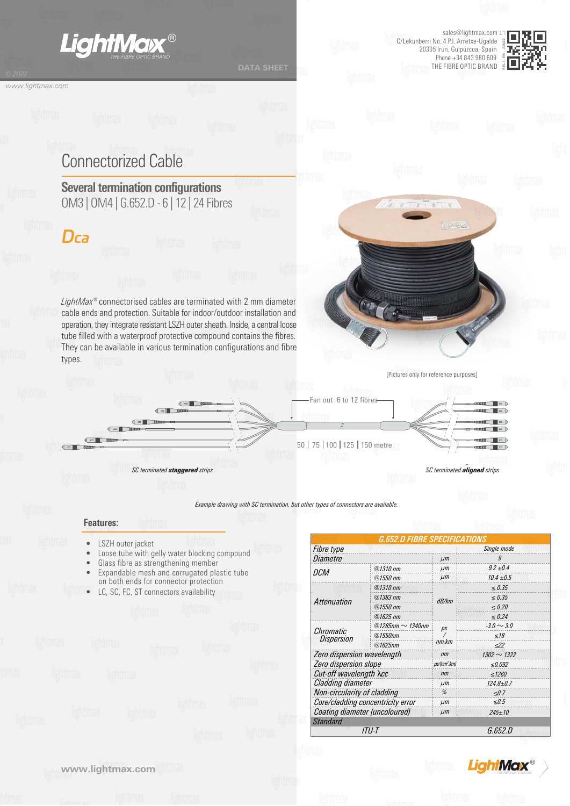

*ITU-T G.652.D Standard Core/cladding concentricity error Coating diameter (uncoloured) µm µm ≤0.5 245±10*



*FightMax*